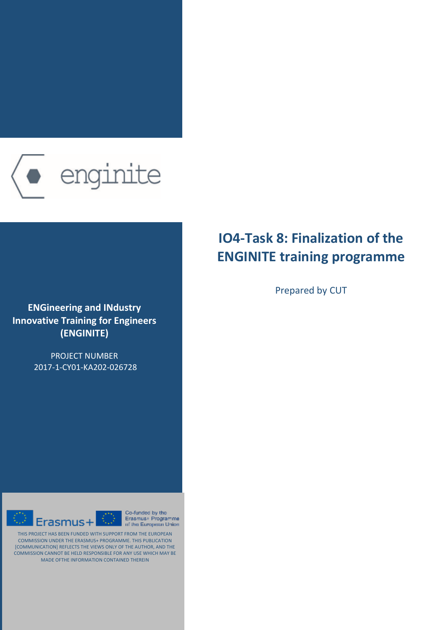

**ENGineering and IΝdustry Innovative Training for Engineers (ENGINITE)**

> PROJECT NUMBER 2017-1-CY01-KA202-026728



Co-funded by the Erasmus+ Programme of the European Union

THIS PROJECT HAS BEEN FUNDED WITH SUPPORT FROM THE EUROPEAN COMMISSION UNDER THE ERASMUS+ PROGRAMME. THIS PUBLICATION [COMMUNICATION] REFLECTS THE VIEWS ONLY OF THE AUTHOR, AND THE COMMISSION CANNOT BE HELD RESPONSIBLE FOR ANY USE WHICH MAY BE MADE OFTHE INFORMATION CONTAINED THEREIN

 $\overline{\mathbb{O}}$ 

# **IO4-Task 8: Finalization of the ENGINITE training programme**

Prepared by CUT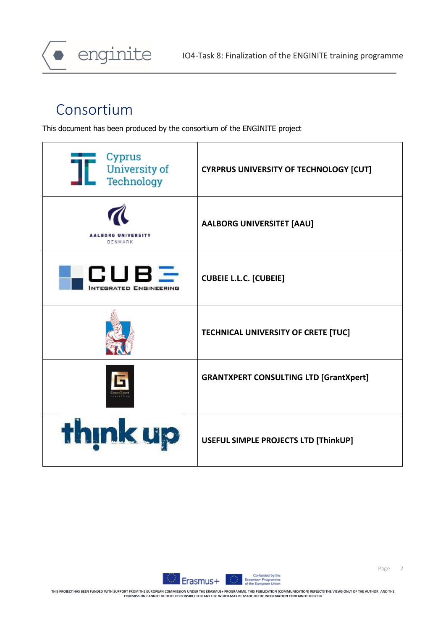

# Consortium

This document has been produced by the consortium of the ENGINITE project



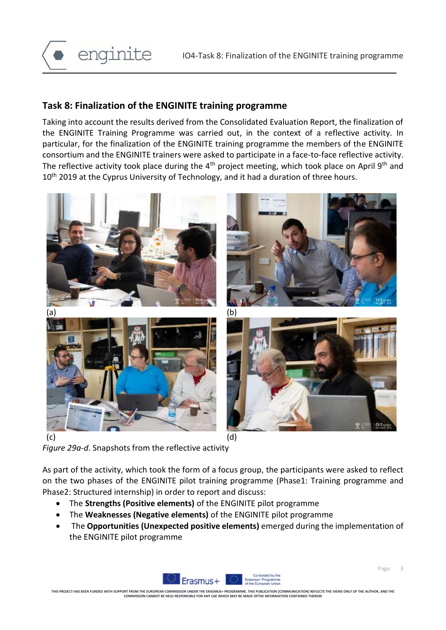

# **Task 8: Finalization of the ENGINITE training programme**

Taking into account the results derived from the Consolidated Evaluation Report, the finalization of the ENGINITE Training Programme was carried out, in the context of a reflective activity. In particular, for the finalization of the ENGINITE training programme the members of the ENGINITE consortium and the ENGINITE trainers were asked to participate in a face-to-face reflective activity. The reflective activity took place during the 4<sup>th</sup> project meeting, which took place on April 9<sup>th</sup> and 10<sup>th</sup> 2019 at the Cyprus University of Technology, and it had a duration of three hours.



*Figure 29a-d*. Snapshots from the reflective activity

As part of the activity, which took the form of a focus group, the participants were asked to reflect on the two phases of the ENGINITE pilot training programme (Phase1: Training programme and Phase2: Structured internship) in order to report and discuss:

- The **Strengths (Positive elements)** of the ENGINITE pilot programme
- The **Weaknesses (Negative elements)** of the ENGINITE pilot programme
- The **Opportunities (Unexpected positive elements)** emerged during the implementation of the ENGINITE pilot programme



**THIS PROJECT HAS BEEN FUNDED WITH SUPPORT FROM THE EUROPEAN COMMISSION UNDER THE ERASMUS+ PROGRAMME. THIS PUBLICATION [COMMUNICATION] REFLECTS THE VIEWS ONLY OF THE AUTHOR, AND THE COMMISSION CANNOT BE HELD RESPONSIBLE FOR ANY USE WHICH MAY BE MADE OFTHE INFORMATION CONTAINED THEREIN**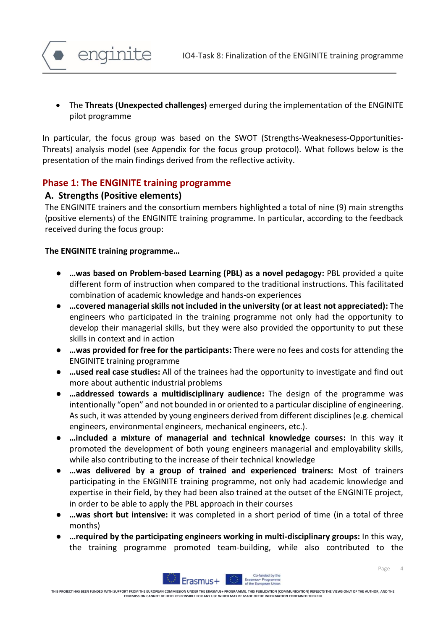

• The **Threats (Unexpected challenges)** emerged during the implementation of the ENGINITE pilot programme

In particular, the focus group was based on the SWOT (Strengths-Weaknesess-Opportunities-Threats) analysis model (see Appendix for the focus group protocol). What follows below is the presentation of the main findings derived from the reflective activity.

# **Phase 1: The ENGINITE training programme**

# **A. Strengths (Positive elements)**

The ENGINITE trainers and the consortium members highlighted a total of nine (9) main strengths (positive elements) of the ENGINITE training programme. In particular, according to the feedback received during the focus group:

# **The ENGINITE training programme…**

- **…was based on Problem-based Learning (PBL) as a novel pedagogy:** PBL provided a quite different form of instruction when compared to the traditional instructions. This facilitated combination of academic knowledge and hands-on experiences
- **…covered managerial skills not included in the university (or at least not appreciated):** The engineers who participated in the training programme not only had the opportunity to develop their managerial skills, but they were also provided the opportunity to put these skills in context and in action
- **…was provided for free for the participants:** There were no fees and costs for attending the ENGINITE training programme
- **…used real case studies:** All of the trainees had the opportunity to investigate and find out more about authentic industrial problems
- **…addressed towards a multidisciplinary audience:** The design of the programme was intentionally "open" and not bounded in or oriented to a particular discipline of engineering. As such, it was attended by young engineers derived from different disciplines (e.g. chemical engineers, environmental engineers, mechanical engineers, etc.).
- **…included a mixture of managerial and technical knowledge courses:** In this way it promoted the development of both young engineers managerial and employability skills, while also contributing to the increase of their technical knowledge
- **…was delivered by a group of trained and experienced trainers:** Most of trainers participating in the ENGINITE training programme, not only had academic knowledge and expertise in their field, by they had been also trained at the outset of the ENGINITE project, in order to be able to apply the PBL approach in their courses
- **…was short but intensive:** it was completed in a short period of time (in a total of three months)
- **…required by the participating engineers working in multi-disciplinary groups:** In this way, the training programme promoted team-building, while also contributed to the



Page 4

THIS PROJECT HAS BEEN FUNDED WITH SUPPORT FROM THE EUROPEAN COMMISSION UNDER THE ERASMUS+ PROGRAMME. THIS PUBLICATION [COMMUNICATION] REFLECTS THE VIEWS ONLY OF THE AUTHOR, AND THE<br>COMMISSION CANNOT BE HILD RESPONSIEL FOR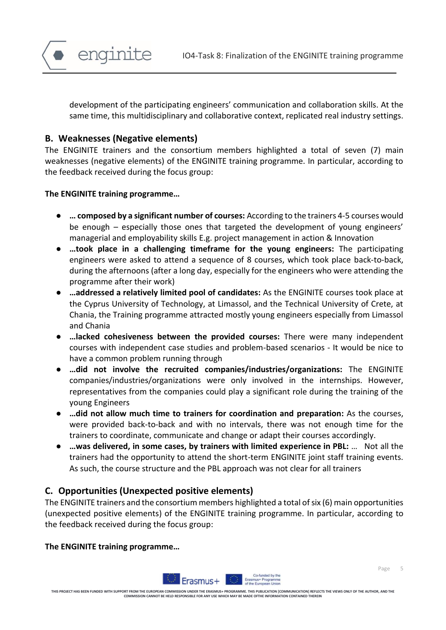

development of the participating engineers' communication and collaboration skills. At the same time, this multidisciplinary and collaborative context, replicated real industry settings.

# **B. Weaknesses (Negative elements)**

The ENGINITE trainers and the consortium members highlighted a total of seven (7) main weaknesses (negative elements) of the ENGINITE training programme. In particular, according to the feedback received during the focus group:

### **The ENGINITE training programme…**

- **… composed by a significant number of courses:** According to the trainers 4-5 courses would be enough – especially those ones that targeted the development of young engineers' managerial and employability skills E.g. project management in action & Innovation
- **…took place in a challenging timeframe for the young engineers:** The participating engineers were asked to attend a sequence of 8 courses, which took place back-to-back, during the afternoons (after a long day, especially for the engineers who were attending the programme after their work)
- **…addressed a relatively limited pool of candidates:** As the ENGINITE courses took place at the Cyprus University of Technology, at Limassol, and the Technical University of Crete, at Chania, the Training programme attracted mostly young engineers especially from Limassol and Chania
- **…lacked cohesiveness between the provided courses:** There were many independent courses with independent case studies and problem-based scenarios - It would be nice to have a common problem running through
- **…did not involve the recruited companies/industries/organizations:** The ENGINITE companies/industries/organizations were only involved in the internships. However, representatives from the companies could play a significant role during the training of the young Engineers
- **…did not allow much time to trainers for coordination and preparation:** As the courses, were provided back-to-back and with no intervals, there was not enough time for the trainers to coordinate, communicate and change or adapt their courses accordingly.
- **…was delivered, in some cases, by trainers with limited experience in PBL:** … Not all the trainers had the opportunity to attend the short-term ENGINITE joint staff training events. As such, the course structure and the PBL approach was not clear for all trainers

# **C. Opportunities (Unexpected positive elements)**

The ENGINITE trainers and the consortium members highlighted a total of six (6) main opportunities (unexpected positive elements) of the ENGINITE training programme. In particular, according to the feedback received during the focus group:

#### **The ENGINITE training programme…**



**THIS PROJECT HAS BEEN FUNDED WITH SUPPORT FROM THE EUROPEAN COMMISSION UNDER THE ERASMUS+ PROGRAMME. THIS PUBLICATION [COMMUNICATION] REFLECTS THE VIEWS ONLY OF THE AUTHOR, AND THE COMMISSION CANNOT BE HELD RESPONSIBLE FOR ANY USE WHICH MAY BE MADE OFTHE INFORMATION CONTAINED THEREIN**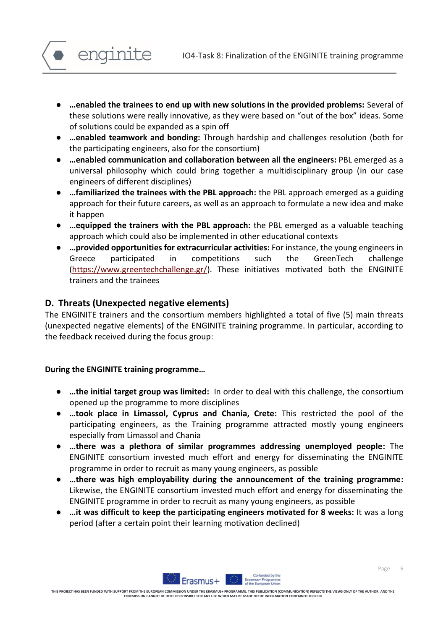

- **…enabled the trainees to end up with new solutions in the provided problems:** Several of these solutions were really innovative, as they were based on "out of the box" ideas. Some of solutions could be expanded as a spin off
- **…enabled teamwork and bonding:** Through hardship and challenges resolution (both for the participating engineers, also for the consortium)
- **…enabled communication and collaboration between all the engineers:** PBL emerged as a universal philosophy which could bring together a multidisciplinary group (in our case engineers of different disciplines)
- **…familiarized the trainees with the PBL approach:** the PBL approach emerged as a guiding approach for their future careers, as well as an approach to formulate a new idea and make it happen
- **…equipped the trainers with the PBL approach:** the PBL emerged as a valuable teaching approach which could also be implemented in other educational contexts
- **…provided opportunities for extracurricular activities:** For instance, the young engineers in Greece participated in competitions such the GreenTech challenge [\(https://www.greentechchallenge.gr/\)](https://www.greentechchallenge.gr/). These initiatives motivated both the ENGINITE trainers and the trainees

# **D. Threats (Unexpected negative elements)**

The ENGINITE trainers and the consortium members highlighted a total of five (5) main threats (unexpected negative elements) of the ENGINITE training programme. In particular, according to the feedback received during the focus group:

# **During the ENGINITE training programme…**

- **…the initial target group was limited:** In order to deal with this challenge, the consortium opened up the programme to more disciplines
- **…took place in Limassol, Cyprus and Chania, Crete:** This restricted the pool of the participating engineers, as the Training programme attracted mostly young engineers especially from Limassol and Chania
- **…there was a plethora of similar programmes addressing unemployed people:** The ENGINITE consortium invested much effort and energy for disseminating the ENGINITE programme in order to recruit as many young engineers, as possible
- **…there was high employability during the announcement of the training programme:** Likewise, the ENGINITE consortium invested much effort and energy for disseminating the ENGINITE programme in order to recruit as many young engineers, as possible
- **…it was difficult to keep the participating engineers motivated for 8 weeks:** It was a long period (after a certain point their learning motivation declined)



**THIS PROJECT HAS BEEN FUNDED WITH SUPPORT FROM THE EUROPEAN COMMISSION UNDER THE ERASMUS+ PROGRAMME. THIS PUBLICATION [COMMUNICATION] REFLECTS THE VIEWS ONLY OF THE AUTHOR, AND THE COMMISSION CANNOT BE HELD RESPONSIBLE FOR ANY USE WHICH MAY BE MADE OFTHE INFORMATION CONTAINED THEREIN**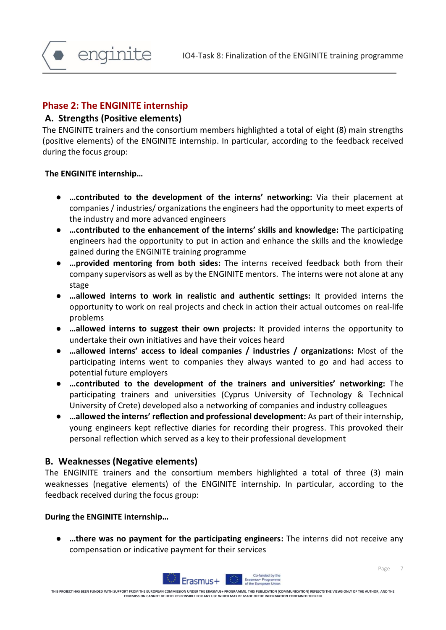

# **Phase 2: The ENGINITE internship**

## **A. Strengths (Positive elements)**

The ENGINITE trainers and the consortium members highlighted a total of eight (8) main strengths (positive elements) of the ENGINITE internship. In particular, according to the feedback received during the focus group:

#### **The ENGINITE internship…**

- **…contributed to the development of the interns' networking:** Via their placement at companies / industries/ organizations the engineers had the opportunity to meet experts of the industry and more advanced engineers
- **…contributed to the enhancement of the interns' skills and knowledge:** The participating engineers had the opportunity to put in action and enhance the skills and the knowledge gained during the ENGINITE training programme
- **…provided mentoring from both sides:** The interns received feedback both from their company supervisors as well as by the ENGINITE mentors. The interns were not alone at any stage
- **…allowed interns to work in realistic and authentic settings:** It provided interns the opportunity to work on real projects and check in action their actual outcomes on real-life problems
- **…allowed interns to suggest their own projects:** It provided interns the opportunity to undertake their own initiatives and have their voices heard
- **…allowed interns' access to ideal companies / industries / organizations:** Most of the participating interns went to companies they always wanted to go and had access to potential future employers
- **…contributed to the development of the trainers and universities' networking:** The participating trainers and universities (Cyprus University of Technology & Technical University of Crete) developed also a networking of companies and industry colleagues
- **…allowed the interns' reflection and professional development:** As part of their internship, young engineers kept reflective diaries for recording their progress. This provoked their personal reflection which served as a key to their professional development

# **B. Weaknesses (Negative elements)**

The ENGINITE trainers and the consortium members highlighted a total of three (3) main weaknesses (negative elements) of the ENGINITE internship. In particular, according to the feedback received during the focus group:

#### **During the ENGINITE internship…**

● **…there was no payment for the participating engineers:** The interns did not receive any compensation or indicative payment for their services



Page 7

**THIS PROJECT HAS BEEN FUNDED WITH SUPPORT FROM THE EUROPEAN COMMISSION UNDER THE ERASMUS+ PROGRAMME. THIS PUBLICATION [COMMUNICATION] REFLECTS THE VIEWS ONLY OF THE AUTHOR, AND THE**  COMMIT EXIT COMMISSION CHEEN THE ENVERTISE THOGHAMMENT MAY BE GEEN<br>CANNOT BE HELD RESPONSIBLE FOR ANY USE WHICH MAY BE MADE OFTHE I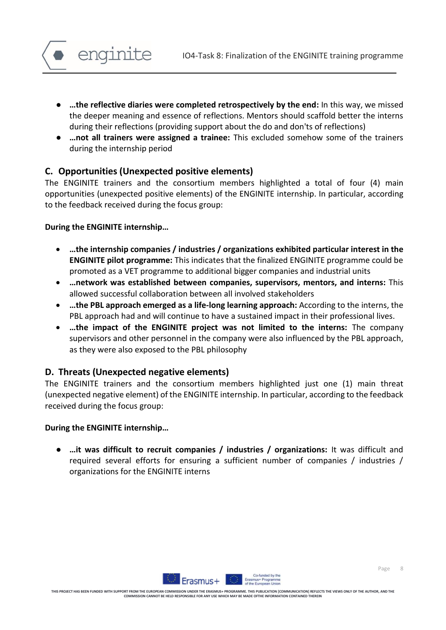

- **…the reflective diaries were completed retrospectively by the end:** In this way, we missed the deeper meaning and essence of reflections. Mentors should scaffold better the interns during their reflections (providing support about the do and don'ts of reflections)
- **…not all trainers were assigned a trainee:** This excluded somehow some of the trainers during the internship period

# **C. Opportunities (Unexpected positive elements)**

The ENGINITE trainers and the consortium members highlighted a total of four (4) main opportunities (unexpected positive elements) of the ENGINITE internship. In particular, according to the feedback received during the focus group:

### **During the ENGINITE internship…**

- **…the internship companies / industries / organizations exhibited particular interest in the ENGINITE pilot programme:** This indicates that the finalized ENGINITE programme could be promoted as a VET programme to additional bigger companies and industrial units
- **…network was established between companies, supervisors, mentors, and interns:** This allowed successful collaboration between all involved stakeholders
- **…the PBL approach emerged as a life-long learning approach:** According to the interns, the PBL approach had and will continue to have a sustained impact in their professional lives.
- **…the impact of the ENGINITE project was not limited to the interns:** The company supervisors and other personnel in the company were also influenced by the PBL approach, as they were also exposed to the PBL philosophy

# **D. Threats (Unexpected negative elements)**

The ENGINITE trainers and the consortium members highlighted just one (1) main threat (unexpected negative element) of the ENGINITE internship. In particular, according to the feedback received during the focus group:

#### **During the ENGINITE internship…**

● **…it was difficult to recruit companies / industries / organizations:** It was difficult and required several efforts for ensuring a sufficient number of companies / industries / organizations for the ENGINITE interns

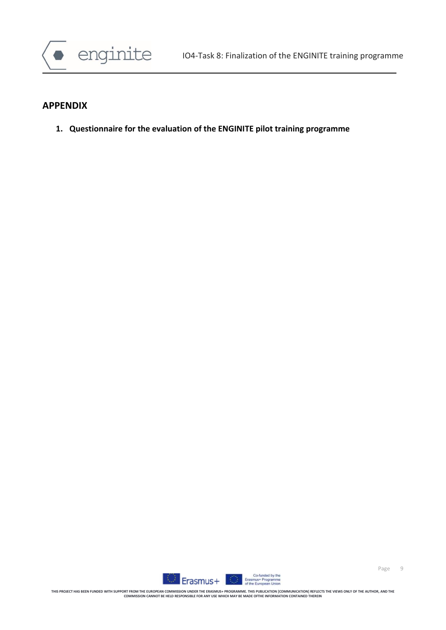

# **APPENDIX**

**1. Questionnaire for the evaluation of the ENGINITE pilot training programme**



Page 9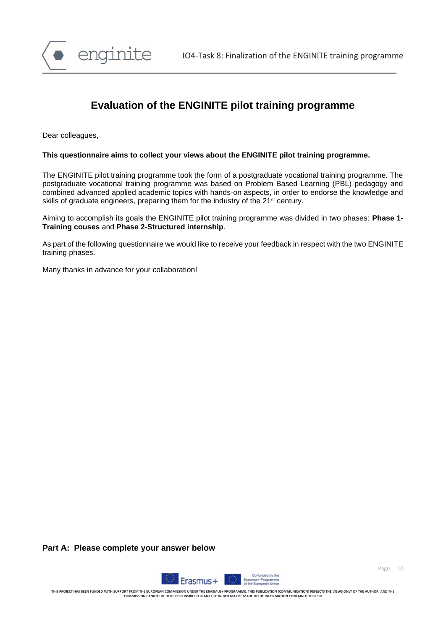

# **Evaluation of the ENGINITE pilot training programme**

Dear colleagues,

#### **This questionnaire aims to collect your views about the ENGINITE pilot training programme.**

The ENGINITE pilot training programme took the form of a postgraduate vocational training programme. The postgraduate vocational training programme was based on Problem Based Learning (PBL) pedagogy and combined advanced applied academic topics with hands-on aspects, in order to endorse the knowledge and skills of graduate engineers, preparing them for the industry of the 21<sup>st</sup> century.

Aiming to accomplish its goals the ENGINITE pilot training programme was divided in two phases: **Phase 1- Training couses** and **Phase 2-Structured internship**.

As part of the following questionnaire we would like to receive your feedback in respect with the two ENGINITE training phases.

Many thanks in advance for your collaboration!

**Part Α: Please complete your answer below**



Page 10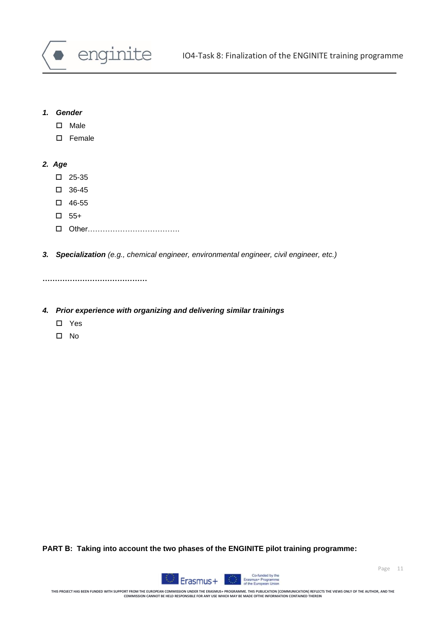

#### *1. Gender*

- □ Male
- □ Female

#### *2. Age*

- $\Box$  25-35
- 36-45
- $\Box$  46-55
- $\square$  55+
- □ Other………………………………
- *3. Specialization (e.g., chemical engineer, environmental engineer, civil engineer, etc.)*

**……………………………………**

- *4. Prior experience with organizing and delivering similar trainings*
	- Yes
	- $\square$  No

**PART Β: Taking into account the two phases of the ENGINITE pilot training programme:**

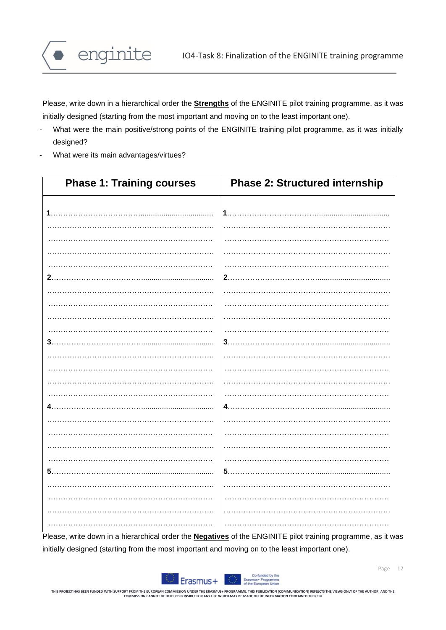

Please, write down in a hierarchical order the **Strengths** of the ENGINITE pilot training programme, as it was initially designed (starting from the most important and moving on to the least important one).

- What were the main positive/strong points of the ENGINITE training pilot programme, as it was initially designed?
- What were its main advantages/virtues?

enginite

| <b>Phase 1: Training courses</b> | <b>Phase 2: Structured internship</b> |
|----------------------------------|---------------------------------------|
|                                  |                                       |
|                                  |                                       |
|                                  |                                       |
|                                  |                                       |
|                                  |                                       |
|                                  |                                       |
| 2.                               |                                       |
|                                  |                                       |
|                                  |                                       |
|                                  |                                       |
|                                  |                                       |
|                                  |                                       |
|                                  |                                       |
|                                  |                                       |
|                                  |                                       |
|                                  |                                       |
|                                  |                                       |
|                                  |                                       |
|                                  |                                       |
|                                  |                                       |
|                                  |                                       |
| 5.<br>.                          |                                       |
|                                  |                                       |
|                                  |                                       |
|                                  |                                       |
|                                  |                                       |

initially designed (starting from the most important and moving on to the least important one).

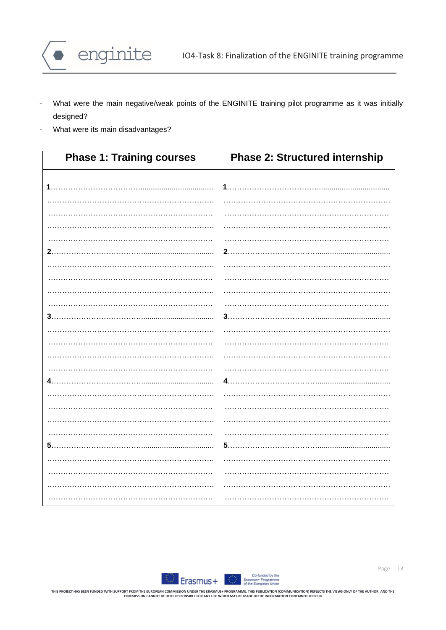

- What were the main negative/weak points of the ENGINITE training pilot programme as it was initially designed?
- What were its main disadvantages?  $\overline{a}$

| <b>Phase 1: Training courses</b> | <b>Phase 2: Structured internship</b> |
|----------------------------------|---------------------------------------|
|                                  |                                       |
|                                  |                                       |
|                                  |                                       |
|                                  |                                       |
|                                  |                                       |
|                                  |                                       |
| 2.                               | 2.                                    |
|                                  |                                       |
|                                  |                                       |
|                                  |                                       |
|                                  |                                       |
| 3.5                              | 3.                                    |
|                                  |                                       |
|                                  |                                       |
|                                  |                                       |
|                                  |                                       |
| 4                                |                                       |
|                                  |                                       |
|                                  |                                       |
|                                  |                                       |
|                                  |                                       |
| 5.                               |                                       |
|                                  |                                       |
|                                  |                                       |
|                                  |                                       |
|                                  |                                       |

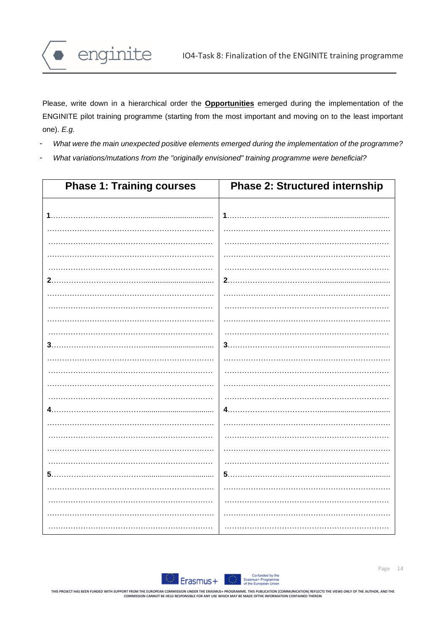

Please, write down in a hierarchical order the **Opportunities** emerged during the implementation of the ENGINITE pilot training programme (starting from the most important and moving on to the least important one). *E.g.*

- *What were the main unexpected positive elements emerged during the implementation of the programme?*
- *What variations/mutations from the "originally envisioned" training programme were beneficial?*

| <b>Phase 1: Training courses</b> | <b>Phase 2: Structured internship</b> |
|----------------------------------|---------------------------------------|
|                                  |                                       |
|                                  | 1                                     |
|                                  |                                       |
|                                  |                                       |
|                                  |                                       |
|                                  |                                       |
| 2.                               | 2.                                    |
|                                  |                                       |
|                                  |                                       |
|                                  |                                       |
|                                  |                                       |
| 3.                               | 3.                                    |
|                                  |                                       |
|                                  |                                       |
|                                  |                                       |
|                                  |                                       |
|                                  | 4                                     |
|                                  |                                       |
|                                  |                                       |
|                                  |                                       |
|                                  |                                       |
|                                  |                                       |
|                                  |                                       |
|                                  |                                       |
|                                  |                                       |
|                                  |                                       |